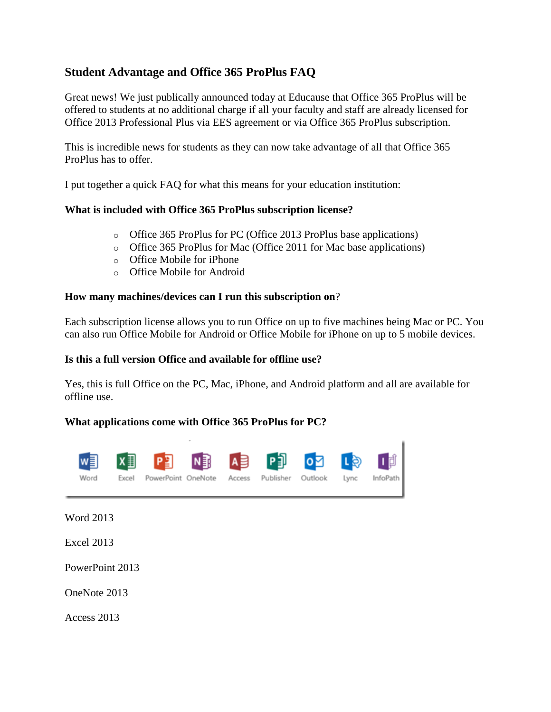# **Student Advantage and Office 365 ProPlus FAQ**

Great news! We just publically announced today at Educause that Office 365 ProPlus will be offered to students at no additional charge if all your faculty and staff are already licensed for Office 2013 Professional Plus via EES agreement or via Office 365 ProPlus subscription.

This is incredible news for students as they can now take advantage of all that Office 365 ProPlus has to offer.

I put together a quick FAQ for what this means for your education institution:

#### **What is included with Office 365 ProPlus subscription license?**

- o Office 365 ProPlus for PC (Office 2013 ProPlus base applications)
- o Office 365 ProPlus for Mac (Office 2011 for Mac base applications)
- o Office Mobile for iPhone
- o Office Mobile for Android

#### **How many machines/devices can I run this subscription on**?

Each subscription license allows you to run Office on up to five machines being Mac or PC. You can also run Office Mobile for Android or Office Mobile for iPhone on up to 5 mobile devices.

#### **Is this a full version Office and available for offline use?**

Yes, this is full Office on the PC, Mac, iPhone, and Android platform and all are available for offline use.

#### **What applications come with Office 365 ProPlus for PC?**



Word 2013

Excel 2013

PowerPoint 2013

OneNote 2013

Access 2013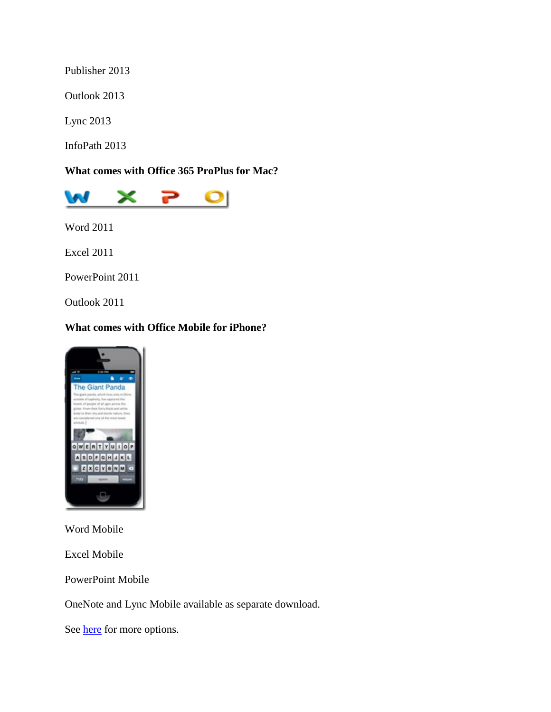Publisher 2013

Outlook 2013

Lync 2013

InfoPath 2013

**What comes with Office 365 ProPlus for Mac?**



Word 2011

Excel 2011

PowerPoint 2011

Outlook 2011

# **What comes with Office Mobile for iPhone?**



Word Mobile

Excel Mobile

PowerPoint Mobile

OneNote and Lync Mobile available as separate download.

See **here** for more options.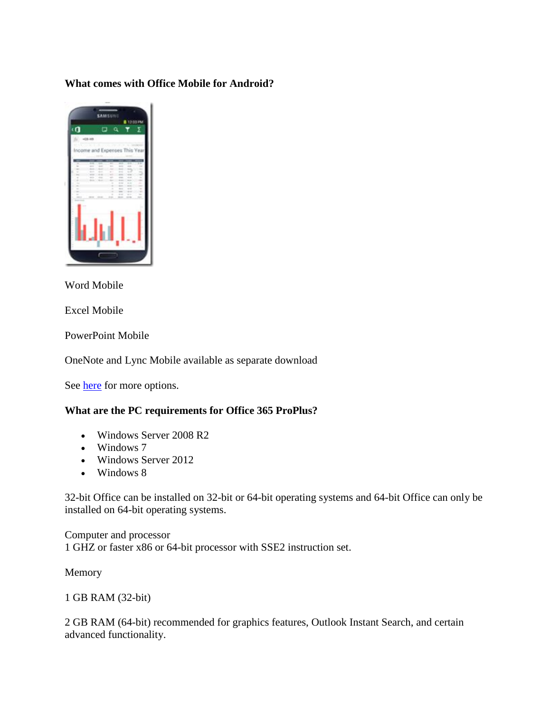### **What comes with Office Mobile for Android?**



Word Mobile

Excel Mobile

PowerPoint Mobile

OneNote and Lync Mobile available as separate download

See [here](http://office.microsoft.com/en-us/mobile/) for more options.

## **What are the PC requirements for Office 365 ProPlus?**

- Windows Server 2008 R2
- Windows 7
- Windows Server 2012
- Windows 8

32-bit Office can be installed on 32-bit or 64-bit operating systems and 64-bit Office can only be installed on 64-bit operating systems.

Computer and processor 1 GHZ or faster x86 or 64-bit processor with SSE2 instruction set.

Memory

1 GB RAM (32-bit)

2 GB RAM (64-bit) recommended for graphics features, Outlook Instant Search, and certain advanced functionality.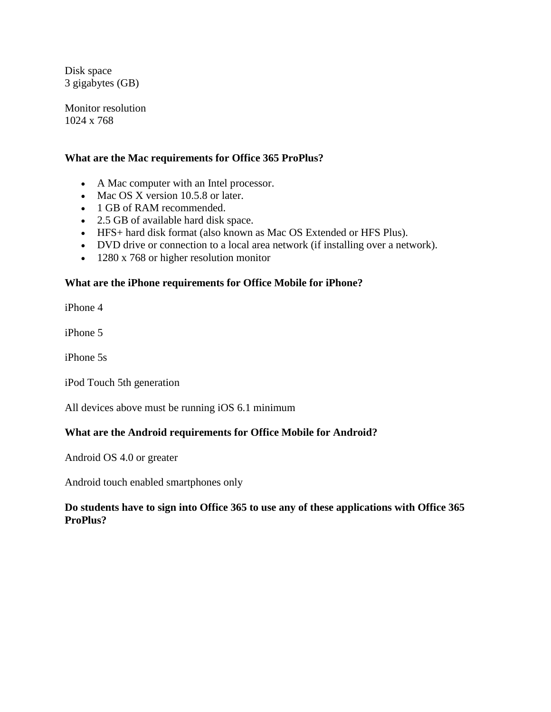Disk space 3 gigabytes (GB)

Monitor resolution 1024 x 768

#### **What are the Mac requirements for Office 365 ProPlus?**

- A Mac computer with an Intel processor.
- Mac OS X version 10.5.8 or later.
- 1 GB of RAM recommended.
- 2.5 GB of available hard disk space.
- HFS+ hard disk format (also known as Mac OS Extended or HFS Plus).
- DVD drive or connection to a local area network (if installing over a network).
- 1280 x 768 or higher resolution monitor

#### **What are the iPhone requirements for Office Mobile for iPhone?**

iPhone 4

iPhone 5

iPhone 5s

iPod Touch 5th generation

All devices above must be running iOS 6.1 minimum

#### **What are the Android requirements for Office Mobile for Android?**

Android OS 4.0 or greater

Android touch enabled smartphones only

#### **Do students have to sign into Office 365 to use any of these applications with Office 365 ProPlus?**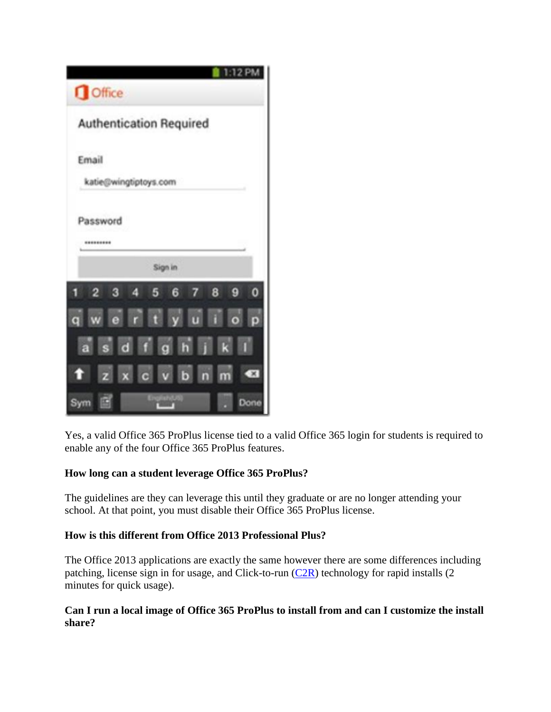

Yes, a valid Office 365 ProPlus license tied to a valid Office 365 login for students is required to enable any of the four Office 365 ProPlus features.

## **How long can a student leverage Office 365 ProPlus?**

The guidelines are they can leverage this until they graduate or are no longer attending your school. At that point, you must disable their Office 365 ProPlus license.

### **How is this different from Office 2013 Professional Plus?**

The Office 2013 applications are exactly the same however there are some differences including patching, license sign in for usage, and Click-to-run  $(C2R)$  technology for rapid installs (2) minutes for quick usage).

### **Can I run a local image of Office 365 ProPlus to install from and can I customize the install share?**